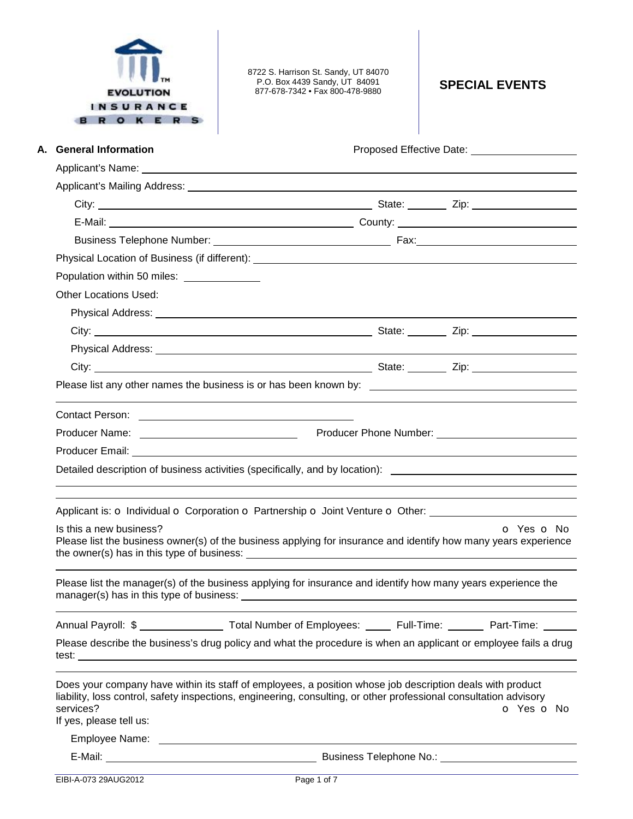| <b>EVOLUTION</b><br>SURANCE<br>O K E R | 8722 S. Harrison St. Sandy, UT 84070<br>P.O. Box 4439 Sandy, UT 84091<br>877-678-7342 • Fax 800-478-9880                                                                                                                       | <b>SPECIAL EVENTS</b> |
|----------------------------------------|--------------------------------------------------------------------------------------------------------------------------------------------------------------------------------------------------------------------------------|-----------------------|
| A. General Information                 |                                                                                                                                                                                                                                |                       |
|                                        |                                                                                                                                                                                                                                |                       |
|                                        |                                                                                                                                                                                                                                |                       |
|                                        |                                                                                                                                                                                                                                |                       |
|                                        |                                                                                                                                                                                                                                |                       |
|                                        |                                                                                                                                                                                                                                |                       |
|                                        |                                                                                                                                                                                                                                |                       |
| Population within 50 miles:            |                                                                                                                                                                                                                                |                       |
| <b>Other Locations Used:</b>           |                                                                                                                                                                                                                                |                       |
|                                        |                                                                                                                                                                                                                                |                       |
|                                        |                                                                                                                                                                                                                                |                       |
|                                        |                                                                                                                                                                                                                                |                       |
|                                        |                                                                                                                                                                                                                                |                       |
|                                        |                                                                                                                                                                                                                                |                       |
|                                        |                                                                                                                                                                                                                                |                       |
|                                        | Producer Name: Name: Name: Name: Name: Name: Name: Name: Name: Name: Name: Name: Name: Name: Name: N                                                                                                                           |                       |
|                                        | Producer Email: North State State State State State State State State State State State State State State State State State State State State State State State State State State State State State State State State State St |                       |
|                                        | Detailed description of business activities (specifically, and by location): _________________________________                                                                                                                 |                       |
|                                        | Applicant is: O Individual O Corporation O Partnership O Joint Venture O Other:                                                                                                                                                |                       |
| Is this a new business?                | Please list the business owner(s) of the business applying for insurance and identify how many years experience                                                                                                                | o Yes o No            |
|                                        | Please list the manager(s) of the business applying for insurance and identify how many years experience the                                                                                                                   |                       |
|                                        | Annual Payroll: \$ __________________ Total Number of Employees: ______ Full-Time: _______ Part-Time: ______                                                                                                                   |                       |
|                                        | Please describe the business's drug policy and what the procedure is when an applicant or employee fails a drug<br>test: <u>www.communications.communications.communications.com</u>                                           |                       |
| services?<br>If yes, please tell us:   | Does your company have within its staff of employees, a position whose job description deals with product<br>liability, loss control, safety inspections, engineering, consulting, or other professional consultation advisory | O Yes O No            |
|                                        |                                                                                                                                                                                                                                |                       |
|                                        |                                                                                                                                                                                                                                |                       |
| EIBI-A-073 29AUG2012                   | Page 1 of 7                                                                                                                                                                                                                    |                       |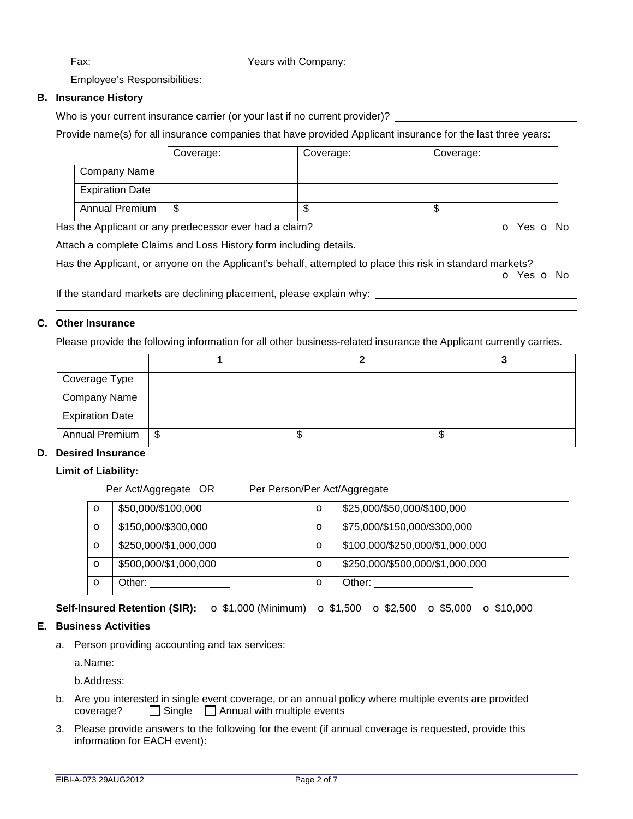Employee's Responsibilities:

## **B. Insurance History**

Who is your current insurance carrier (or your last if no current provider)? \_

Provide name(s) for all insurance companies that have provided Applicant insurance for the last three years:

|                        | Coverage: | Coverage: | Coverage: |
|------------------------|-----------|-----------|-----------|
| Company Name           |           |           |           |
| <b>Expiration Date</b> |           |           |           |
| Annual Premium         | S         | ѡ         | J         |

Has the Applicant or any predecessor ever had a claim? **O** Yes **o** No

Attach a complete Claims and Loss History form including details.

Has the Applicant, or anyone on the Applicant's behalf, attempted to place this risk in standard markets?

o Yes o No

If the standard markets are declining placement, please explain why:

## **C. Other Insurance**

Please provide the following information for all other business-related insurance the Applicant currently carries.

| Coverage Type          |     |   |   |
|------------------------|-----|---|---|
| <b>Company Name</b>    |     |   |   |
| <b>Expiration Date</b> |     |   |   |
| <b>Annual Premium</b>  | -\$ | J | w |

## **D. Desired Insurance**

**Limit of Liability:** 

Per Act/Aggregate OR Per Person/Per Act/Aggregate

| $\mathbf o$ | \$50,000/\$100,000    | $\circ$ | \$25,000/\$50,000/\$100,000     |
|-------------|-----------------------|---------|---------------------------------|
| $\circ$     | \$150,000/\$300,000   | $\circ$ | \$75,000/\$150,000/\$300,000    |
| $\circ$     | \$250,000/\$1,000,000 | $\circ$ | \$100,000/\$250,000/\$1,000,000 |
| $\circ$     | \$500,000/\$1,000,000 | $\circ$ | \$250,000/\$500,000/\$1,000,000 |
| $\mathbf O$ | Other:                | $\circ$ | Other:                          |

**Self-Insured Retention (SIR):** o \$1,000 (Minimum) o \$1,500 o \$2,500 o \$5,000 o \$10,000

## **E. Business Activities**

a. Person providing accounting and tax services:

a.Name:

b.Address:

- b. Are you interested in single event coverage, or an annual policy where multiple events are provided coverage? □ Single □ Annual with multiple events
- 3. Please provide answers to the following for the event (if annual coverage is requested, provide this information for EACH event):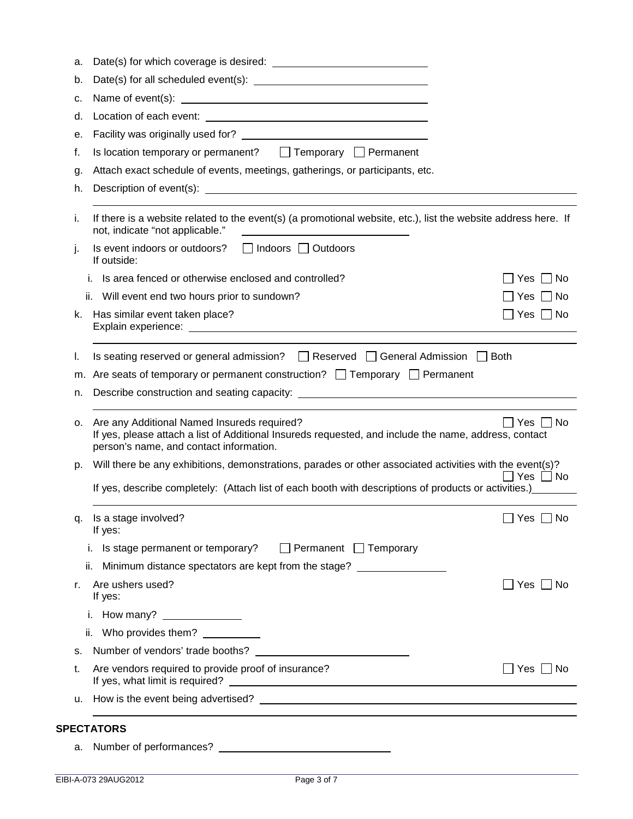| b.                   |                                                                                                                                                                                                                   |                      |
|----------------------|-------------------------------------------------------------------------------------------------------------------------------------------------------------------------------------------------------------------|----------------------|
| c.                   |                                                                                                                                                                                                                   |                      |
| d.                   |                                                                                                                                                                                                                   |                      |
| е.                   |                                                                                                                                                                                                                   |                      |
| f.                   | Is location temporary or permanent? $\Box$ Temporary $\Box$ Permanent                                                                                                                                             |                      |
| g.                   | Attach exact schedule of events, meetings, gatherings, or participants, etc.                                                                                                                                      |                      |
| h.                   |                                                                                                                                                                                                                   |                      |
| İ.                   | If there is a website related to the event(s) (a promotional website, etc.), list the website address here. If<br>not, indicate "not applicable."<br><u> 1989 - Johann Barbara, martxa alemaniar arg</u>          |                      |
| j.                   | Is event indoors or outdoors?<br>□ Indoors □ Outdoors<br>If outside:                                                                                                                                              |                      |
|                      | Is area fenced or otherwise enclosed and controlled?<br>İ.                                                                                                                                                        | ∣No<br>Yes           |
|                      | ii. Will event end two hours prior to sundown?                                                                                                                                                                    | _  No<br>Yes         |
| k.                   | Has similar event taken place?                                                                                                                                                                                    | Yes     No           |
|                      |                                                                                                                                                                                                                   |                      |
| I.                   | Is seating reserved or general admission? $\Box$ Reserved $\Box$ General Admission $\Box$ Both                                                                                                                    |                      |
|                      | m. Are seats of temporary or permanent construction? $\Box$ Temporary $\Box$ Permanent                                                                                                                            |                      |
| n.                   |                                                                                                                                                                                                                   |                      |
|                      |                                                                                                                                                                                                                   |                      |
|                      | Are any Additional Named Insureds required?<br>If yes, please attach a list of Additional Insureds requested, and include the name, address, contact<br>person's name, and contact information.                   | Yes I INo            |
|                      | Will there be any exhibitions, demonstrations, parades or other associated activities with the event(s)?<br>If yes, describe completely: (Attach list of each booth with descriptions of products or activities.) | $\Box$ Yes $\Box$ No |
|                      | Is a stage involved?<br>If yes:                                                                                                                                                                                   | _  Yes   <br>No      |
|                      | i. Is stage permanent or temporary? $\Box$ Permanent $\Box$ Temporary                                                                                                                                             |                      |
|                      | Minimum distance spectators are kept from the stage?<br>ii.                                                                                                                                                       |                      |
|                      | Are ushers used?<br>If yes:                                                                                                                                                                                       | $Yes \Box No$        |
| о.<br>p.<br>q.<br>r. | i. How many? _________________                                                                                                                                                                                    |                      |
|                      | ii. Who provides them? ___________                                                                                                                                                                                |                      |
|                      | Number of vendors' trade booths?<br><u> 1980 - Jan Stein Stein Stein Stein Stein Stein Stein Stein Stein Stein Stein Stein Stein Stein Stein Stein S</u>                                                          |                      |
| s.<br>t.             | Are vendors required to provide proof of insurance?                                                                                                                                                               | _  Yes   _  No       |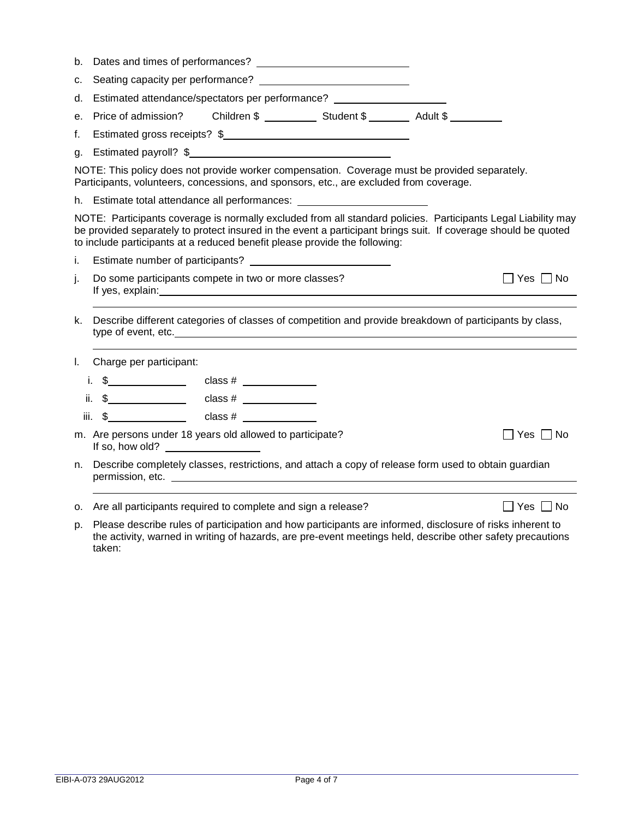| b.   |                                                                                              |  |                                                                                                                                                                                                                                                                                                               |                             |
|------|----------------------------------------------------------------------------------------------|--|---------------------------------------------------------------------------------------------------------------------------------------------------------------------------------------------------------------------------------------------------------------------------------------------------------------|-----------------------------|
| c.   |                                                                                              |  |                                                                                                                                                                                                                                                                                                               |                             |
| d.   | Estimated attendance/spectators per performance? _________________________                   |  |                                                                                                                                                                                                                                                                                                               |                             |
| е.   | Price of admission?                                                                          |  |                                                                                                                                                                                                                                                                                                               |                             |
| f.   |                                                                                              |  | Estimated gross receipts? \$                                                                                                                                                                                                                                                                                  |                             |
|      | g. Estimated payroll? \$                                                                     |  |                                                                                                                                                                                                                                                                                                               |                             |
|      |                                                                                              |  | NOTE: This policy does not provide worker compensation. Coverage must be provided separately.<br>Participants, volunteers, concessions, and sponsors, etc., are excluded from coverage.                                                                                                                       |                             |
|      |                                                                                              |  | h. Estimate total attendance all performances: _________________________________                                                                                                                                                                                                                              |                             |
|      |                                                                                              |  | NOTE: Participants coverage is normally excluded from all standard policies. Participants Legal Liability may<br>be provided separately to protect insured in the event a participant brings suit. If coverage should be quoted<br>to include participants at a reduced benefit please provide the following: |                             |
| i.   |                                                                                              |  |                                                                                                                                                                                                                                                                                                               |                             |
| j.   | Do some participants compete in two or more classes?                                         |  |                                                                                                                                                                                                                                                                                                               | $\sqsupset$ Yes $\sqcap$ No |
| k.   |                                                                                              |  | Describe different categories of classes of competition and provide breakdown of participants by class,                                                                                                                                                                                                       |                             |
| L.   | Charge per participant:                                                                      |  |                                                                                                                                                                                                                                                                                                               |                             |
|      |                                                                                              |  |                                                                                                                                                                                                                                                                                                               |                             |
|      |                                                                                              |  |                                                                                                                                                                                                                                                                                                               |                             |
| iii. |                                                                                              |  |                                                                                                                                                                                                                                                                                                               |                             |
|      | m. Are persons under 18 years old allowed to participate?<br>If so, how old? $\qquad \qquad$ |  |                                                                                                                                                                                                                                                                                                               | $\Box$ Yes $\Box$ No        |
| n.   |                                                                                              |  | Describe completely classes, restrictions, and attach a copy of release form used to obtain guardian                                                                                                                                                                                                          |                             |
|      | o. Are all participants required to complete and sign a release?                             |  |                                                                                                                                                                                                                                                                                                               | $\Box$ Yes $\Box$ No        |
|      |                                                                                              |  |                                                                                                                                                                                                                                                                                                               |                             |

p. Please describe rules of participation and how participants are informed, disclosure of risks inherent to the activity, warned in writing of hazards, are pre-event meetings held, describe other safety precautions taken: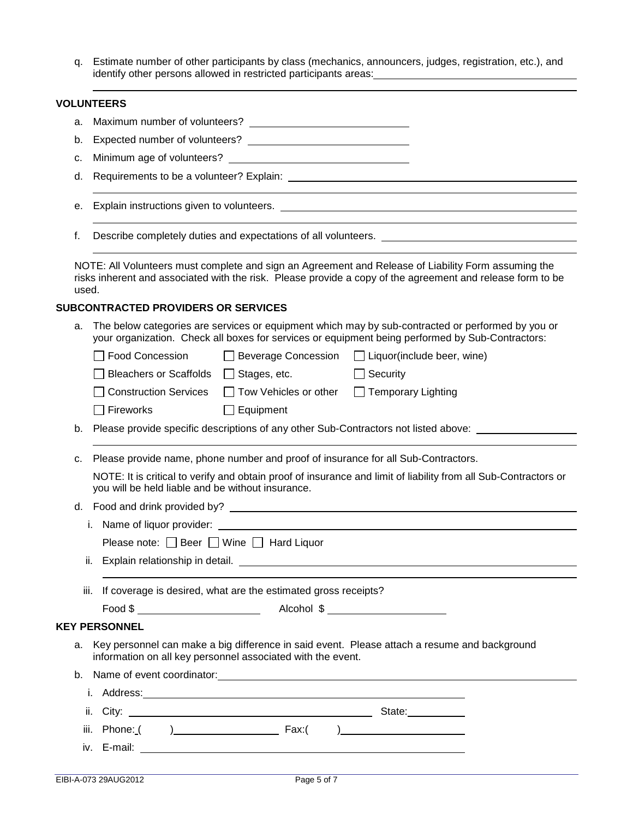q. Estimate number of other participants by class (mechanics, announcers, judges, registration, etc.), and identify other persons allowed in restricted participants areas:

# **VOLUNTEERS**

| а.    |                                                                                                                                                                                                                                      |
|-------|--------------------------------------------------------------------------------------------------------------------------------------------------------------------------------------------------------------------------------------|
| b.    |                                                                                                                                                                                                                                      |
| c.    |                                                                                                                                                                                                                                      |
| d.    |                                                                                                                                                                                                                                      |
| е.    |                                                                                                                                                                                                                                      |
| f.    | Describe completely duties and expectations of all volunteers. __________________                                                                                                                                                    |
| used. | NOTE: All Volunteers must complete and sign an Agreement and Release of Liability Form assuming the<br>risks inherent and associated with the risk. Please provide a copy of the agreement and release form to be                    |
|       | <b>SUBCONTRACTED PROVIDERS OR SERVICES</b>                                                                                                                                                                                           |
| a.    | The below categories are services or equipment which may by sub-contracted or performed by you or<br>your organization. Check all boxes for services or equipment being performed by Sub-Contractors:                                |
|       | □ Food Concession<br>□ Beverage Concession □ Liquor(include beer, wine)                                                                                                                                                              |
|       | Bleachers or Scaffolds   Stages, etc.<br>$\Box$ Security                                                                                                                                                                             |
|       | <b>Construction Services</b><br>□ Tow Vehicles or other<br>□ Temporary Lighting                                                                                                                                                      |
|       | Fireworks<br>$\Box$ Equipment                                                                                                                                                                                                        |
| b.    | Please provide specific descriptions of any other Sub-Contractors not listed above:                                                                                                                                                  |
|       |                                                                                                                                                                                                                                      |
| c.    | Please provide name, phone number and proof of insurance for all Sub-Contractors.                                                                                                                                                    |
|       | NOTE: It is critical to verify and obtain proof of insurance and limit of liability from all Sub-Contractors or<br>you will be held liable and be without insurance.                                                                 |
|       |                                                                                                                                                                                                                                      |
|       | i. Name of liquor provider: example of the state of the state of the state of the state of the state of the state of the state of the state of the state of the state of the state of the state of the state of the state of t       |
|       | Please note: $\Box$ Beer $\Box$ Wine $\Box$ Hard Liquor                                                                                                                                                                              |
| ii.   |                                                                                                                                                                                                                                      |
| iii.  | If coverage is desired, what are the estimated gross receipts?                                                                                                                                                                       |
|       |                                                                                                                                                                                                                                      |
|       | <b>KEY PERSONNEL</b>                                                                                                                                                                                                                 |
| a.    | Key personnel can make a big difference in said event. Please attach a resume and background<br>information on all key personnel associated with the event.                                                                          |
|       |                                                                                                                                                                                                                                      |
|       | i. Address: <u>contract and a series of the series of the series of the series of the series of the series of the series of the series of the series of the series of the series of the series of the series of the series of th</u> |
|       | ii.                                                                                                                                                                                                                                  |
| iii.  |                                                                                                                                                                                                                                      |
|       |                                                                                                                                                                                                                                      |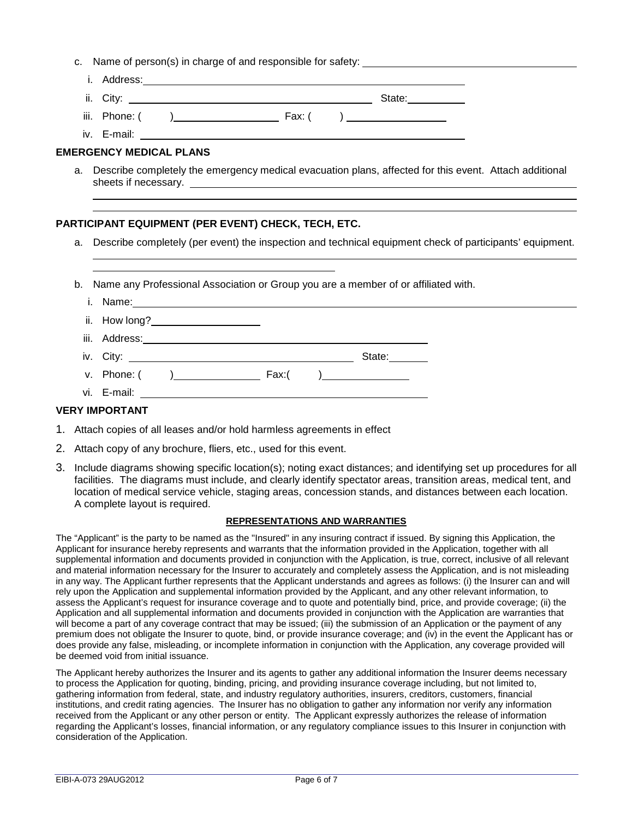c. Name of person(s) in charge of and responsible for safety:

| i. Address:   |        |        |
|---------------|--------|--------|
| ii. City:     |        | State: |
| iii. Phone: ( | Fax: ( |        |

iv. E-mail:

 

 

# **EMERGENCY MEDICAL PLANS**

a. Describe completely the emergency medical evacuation plans, affected for this event. Attach additional sheets if necessary.

#### **PARTICIPANT EQUIPMENT (PER EVENT) CHECK, TECH, ETC.**

- a. Describe completely (per event) the inspection and technical equipment check of participants' equipment.
- b. Name any Professional Association or Group you are a member of or affiliated with.

| VIMDADT ALIT                                                                                                                                                                                                                     |  |       |                                                                                                                                                                                                                                                                                               |
|----------------------------------------------------------------------------------------------------------------------------------------------------------------------------------------------------------------------------------|--|-------|-----------------------------------------------------------------------------------------------------------------------------------------------------------------------------------------------------------------------------------------------------------------------------------------------|
|                                                                                                                                                                                                                                  |  |       |                                                                                                                                                                                                                                                                                               |
| v. Phone: ( )                                                                                                                                                                                                                    |  | Fax:( | $\frac{1}{2}$ and $\frac{1}{2}$ and $\frac{1}{2}$ and $\frac{1}{2}$ and $\frac{1}{2}$ and $\frac{1}{2}$ and $\frac{1}{2}$ and $\frac{1}{2}$ and $\frac{1}{2}$ and $\frac{1}{2}$ and $\frac{1}{2}$ and $\frac{1}{2}$ and $\frac{1}{2}$ and $\frac{1}{2}$ and $\frac{1}{2}$ and $\frac{1}{2}$ a |
|                                                                                                                                                                                                                                  |  |       | State:                                                                                                                                                                                                                                                                                        |
|                                                                                                                                                                                                                                  |  |       | iii. Address: et al. and a series of a series of a series of a series of a series of a series of a series of a                                                                                                                                                                                |
| ii. How long?_____________________                                                                                                                                                                                               |  |       |                                                                                                                                                                                                                                                                                               |
| i. Name: 1. 2008. 2009. 2010. 2010. 2010. 2010. 2010. 2010. 2010. 2010. 2010. 2010. 2010. 2010. 2010. 2010. 20<br>2010. 2011. 2012. 2012. 2012. 2012. 2012. 2012. 2012. 2012. 2012. 2012. 2012. 2013. 2014. 2014. 2014. 2014. 20 |  |       |                                                                                                                                                                                                                                                                                               |

### **VERY IMPORTANT**

- 1. Attach copies of all leases and/or hold harmless agreements in effect
- 2. Attach copy of any brochure, fliers, etc., used for this event.
- 3. Include diagrams showing specific location(s); noting exact distances; and identifying set up procedures for all facilities. The diagrams must include, and clearly identify spectator areas, transition areas, medical tent, and location of medical service vehicle, staging areas, concession stands, and distances between each location. A complete layout is required.

#### **REPRESENTATIONS AND WARRANTIES**

The "Applicant" is the party to be named as the "Insured" in any insuring contract if issued. By signing this Application, the Applicant for insurance hereby represents and warrants that the information provided in the Application, together with all supplemental information and documents provided in conjunction with the Application, is true, correct, inclusive of all relevant and material information necessary for the Insurer to accurately and completely assess the Application, and is not misleading in any way. The Applicant further represents that the Applicant understands and agrees as follows: (i) the Insurer can and will rely upon the Application and supplemental information provided by the Applicant, and any other relevant information, to assess the Applicant's request for insurance coverage and to quote and potentially bind, price, and provide coverage; (ii) the Application and all supplemental information and documents provided in conjunction with the Application are warranties that will become a part of any coverage contract that may be issued; (iii) the submission of an Application or the payment of any premium does not obligate the Insurer to quote, bind, or provide insurance coverage; and (iv) in the event the Applicant has or does provide any false, misleading, or incomplete information in conjunction with the Application, any coverage provided will be deemed void from initial issuance.

The Applicant hereby authorizes the Insurer and its agents to gather any additional information the Insurer deems necessary to process the Application for quoting, binding, pricing, and providing insurance coverage including, but not limited to, gathering information from federal, state, and industry regulatory authorities, insurers, creditors, customers, financial institutions, and credit rating agencies. The Insurer has no obligation to gather any information nor verify any information received from the Applicant or any other person or entity. The Applicant expressly authorizes the release of information regarding the Applicant's losses, financial information, or any regulatory compliance issues to this Insurer in conjunction with consideration of the Application.